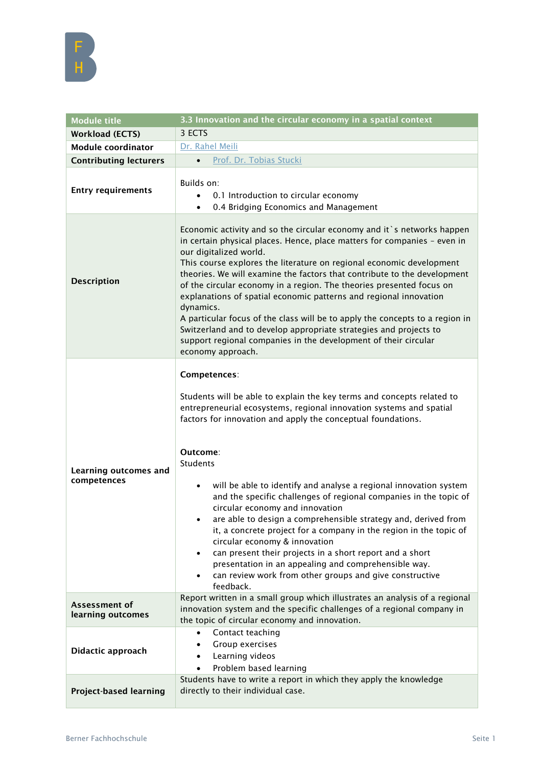

| <b>Module title</b>                  | 3.3 Innovation and the circular economy in a spatial context                                                                                                                                                                                                                                                                                                                                                                                                                                                                                                                                                                                                                                                                                                                                                                             |
|--------------------------------------|------------------------------------------------------------------------------------------------------------------------------------------------------------------------------------------------------------------------------------------------------------------------------------------------------------------------------------------------------------------------------------------------------------------------------------------------------------------------------------------------------------------------------------------------------------------------------------------------------------------------------------------------------------------------------------------------------------------------------------------------------------------------------------------------------------------------------------------|
| <b>Workload (ECTS)</b>               | 3 ECTS                                                                                                                                                                                                                                                                                                                                                                                                                                                                                                                                                                                                                                                                                                                                                                                                                                   |
| <b>Module coordinator</b>            | Dr. Rahel Meili                                                                                                                                                                                                                                                                                                                                                                                                                                                                                                                                                                                                                                                                                                                                                                                                                          |
| <b>Contributing lecturers</b>        | Prof. Dr. Tobias Stucki<br>$\bullet$                                                                                                                                                                                                                                                                                                                                                                                                                                                                                                                                                                                                                                                                                                                                                                                                     |
| <b>Entry requirements</b>            | Builds on:<br>0.1 Introduction to circular economy<br>0.4 Bridging Economics and Management<br>$\bullet$                                                                                                                                                                                                                                                                                                                                                                                                                                                                                                                                                                                                                                                                                                                                 |
| <b>Description</b>                   | Economic activity and so the circular economy and it `s networks happen<br>in certain physical places. Hence, place matters for companies - even in<br>our digitalized world.<br>This course explores the literature on regional economic development<br>theories. We will examine the factors that contribute to the development<br>of the circular economy in a region. The theories presented focus on<br>explanations of spatial economic patterns and regional innovation<br>dynamics.<br>A particular focus of the class will be to apply the concepts to a region in<br>Switzerland and to develop appropriate strategies and projects to<br>support regional companies in the development of their circular<br>economy approach.                                                                                                 |
| Learning outcomes and<br>competences | Competences:<br>Students will be able to explain the key terms and concepts related to<br>entrepreneurial ecosystems, regional innovation systems and spatial<br>factors for innovation and apply the conceptual foundations.<br>Outcome:<br><b>Students</b><br>will be able to identify and analyse a regional innovation system<br>$\bullet$<br>and the specific challenges of regional companies in the topic of<br>circular economy and innovation<br>are able to design a comprehensible strategy and, derived from<br>it, a concrete project for a company in the region in the topic of<br>circular economy & innovation<br>can present their projects in a short report and a short<br>$\bullet$<br>presentation in an appealing and comprehensible way.<br>can review work from other groups and give constructive<br>feedback. |
| Assessment of<br>learning outcomes   | Report written in a small group which illustrates an analysis of a regional<br>innovation system and the specific challenges of a regional company in<br>the topic of circular economy and innovation.                                                                                                                                                                                                                                                                                                                                                                                                                                                                                                                                                                                                                                   |
| Didactic approach                    | Contact teaching<br>٠<br>Group exercises<br>$\bullet$<br>Learning videos<br>$\bullet$<br>Problem based learning                                                                                                                                                                                                                                                                                                                                                                                                                                                                                                                                                                                                                                                                                                                          |
| <b>Project-based learning</b>        | Students have to write a report in which they apply the knowledge<br>directly to their individual case.                                                                                                                                                                                                                                                                                                                                                                                                                                                                                                                                                                                                                                                                                                                                  |